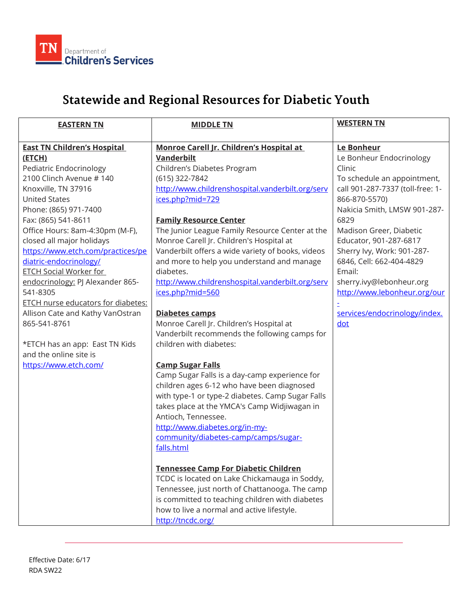

## **Statewide and Regional Resources for Diabetic Youth**

| <b>EASTERN TN</b>                  | <b>MIDDLE TN</b>                                  | <b>WESTERN TN</b>                |
|------------------------------------|---------------------------------------------------|----------------------------------|
|                                    |                                                   |                                  |
| <b>East TN Children's Hospital</b> | Monroe Carell Jr. Children's Hospital at          | Le Bonheur                       |
| (ETCH)                             | <b>Vanderbilt</b>                                 | Le Bonheur Endocrinology         |
| Pediatric Endocrinology            | Children's Diabetes Program                       | Clinic                           |
| 2100 Clinch Avenue #140            | (615) 322-7842                                    | To schedule an appointment,      |
| Knoxville, TN 37916                | http://www.childrenshospital.vanderbilt.org/serv  | call 901-287-7337 (toll-free: 1- |
| <b>United States</b>               | ices.php?mid=729                                  | 866-870-5570)                    |
| Phone: (865) 971-7400              |                                                   | Nakicia Smith, LMSW 901-287-     |
| Fax: (865) 541-8611                | <b>Family Resource Center</b>                     | 6829                             |
| Office Hours: 8am-4:30pm (M-F),    | The Junior League Family Resource Center at the   | Madison Greer, Diabetic          |
| closed all major holidays          | Monroe Carell Jr. Children's Hospital at          | Educator, 901-287-6817           |
| https://www.etch.com/practices/pe  | Vanderbilt offers a wide variety of books, videos | Sherry Ivy, Work: 901-287-       |
| diatric-endocrinology/             | and more to help you understand and manage        | 6846, Cell: 662-404-4829         |
| <b>ETCH Social Worker for</b>      | diabetes.                                         | Email:                           |
| endocrinology: PJ Alexander 865-   | http://www.childrenshospital.vanderbilt.org/serv  | sherry.ivy@lebonheur.org         |
| 541-8305                           | ices.php?mid=560                                  | http://www.lebonheur.org/our     |
| ETCH nurse educators for diabetes: |                                                   |                                  |
| Allison Cate and Kathy VanOstran   | Diabetes camps                                    | services/endocrinology/index.    |
| 865-541-8761                       | Monroe Carell Jr. Children's Hospital at          | dot                              |
|                                    | Vanderbilt recommends the following camps for     |                                  |
| *ETCH has an app: East TN Kids     | children with diabetes:                           |                                  |
| and the online site is             |                                                   |                                  |
| https://www.etch.com/              | <b>Camp Sugar Falls</b>                           |                                  |
|                                    | Camp Sugar Falls is a day-camp experience for     |                                  |
|                                    | children ages 6-12 who have been diagnosed        |                                  |
|                                    | with type-1 or type-2 diabetes. Camp Sugar Falls  |                                  |
|                                    | takes place at the YMCA's Camp Widjiwagan in      |                                  |
|                                    | Antioch, Tennessee.                               |                                  |
|                                    | http://www.diabetes.org/in-my-                    |                                  |
|                                    | community/diabetes-camp/camps/sugar-              |                                  |
|                                    | falls.html                                        |                                  |
|                                    | <b>Tennessee Camp For Diabetic Children</b>       |                                  |
|                                    | TCDC is located on Lake Chickamauga in Soddy,     |                                  |
|                                    | Tennessee, just north of Chattanooga. The camp    |                                  |
|                                    | is committed to teaching children with diabetes   |                                  |
|                                    | how to live a normal and active lifestyle.        |                                  |
|                                    | http://tncdc.org/                                 |                                  |